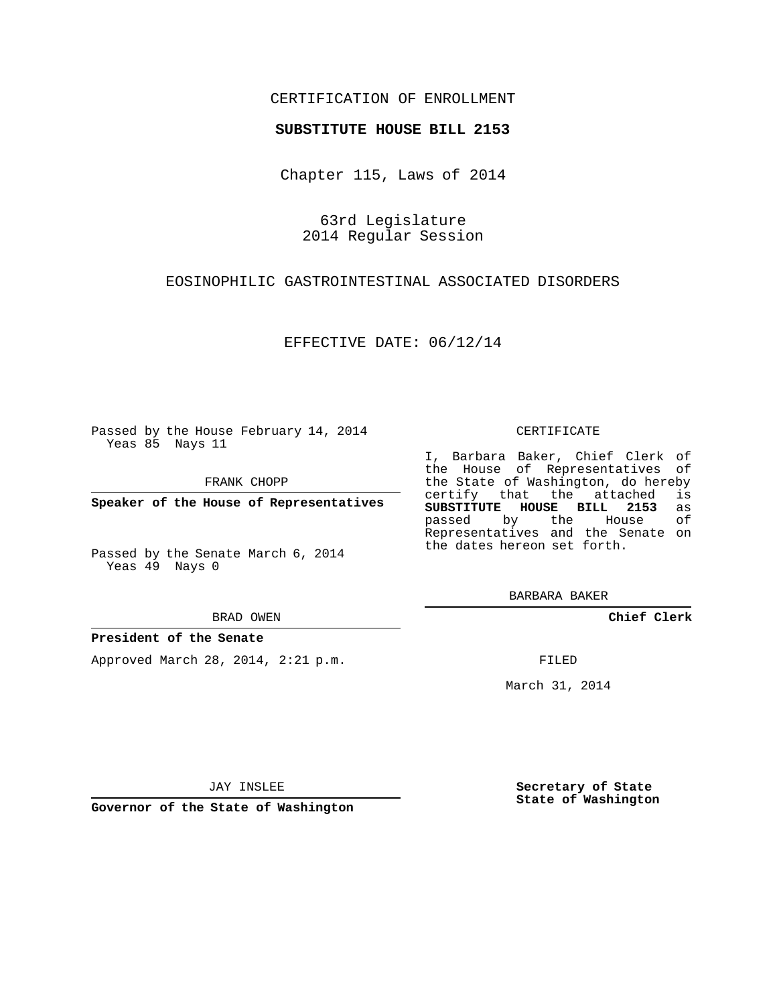## CERTIFICATION OF ENROLLMENT

### **SUBSTITUTE HOUSE BILL 2153**

Chapter 115, Laws of 2014

63rd Legislature 2014 Regular Session

### EOSINOPHILIC GASTROINTESTINAL ASSOCIATED DISORDERS

EFFECTIVE DATE: 06/12/14

Passed by the House February 14, 2014 Yeas 85 Nays 11

FRANK CHOPP

**Speaker of the House of Representatives**

Passed by the Senate March 6, 2014 Yeas 49 Nays 0

#### BRAD OWEN

### **President of the Senate**

Approved March 28, 2014, 2:21 p.m.

#### CERTIFICATE

I, Barbara Baker, Chief Clerk of the House of Representatives of the State of Washington, do hereby<br>certify that the attached is certify that the attached **SUBSTITUTE HOUSE BILL 2153** as passed by the House of Representatives and the Senate on the dates hereon set forth.

BARBARA BAKER

**Chief Clerk**

FILED

March 31, 2014

JAY INSLEE

**Governor of the State of Washington**

**Secretary of State State of Washington**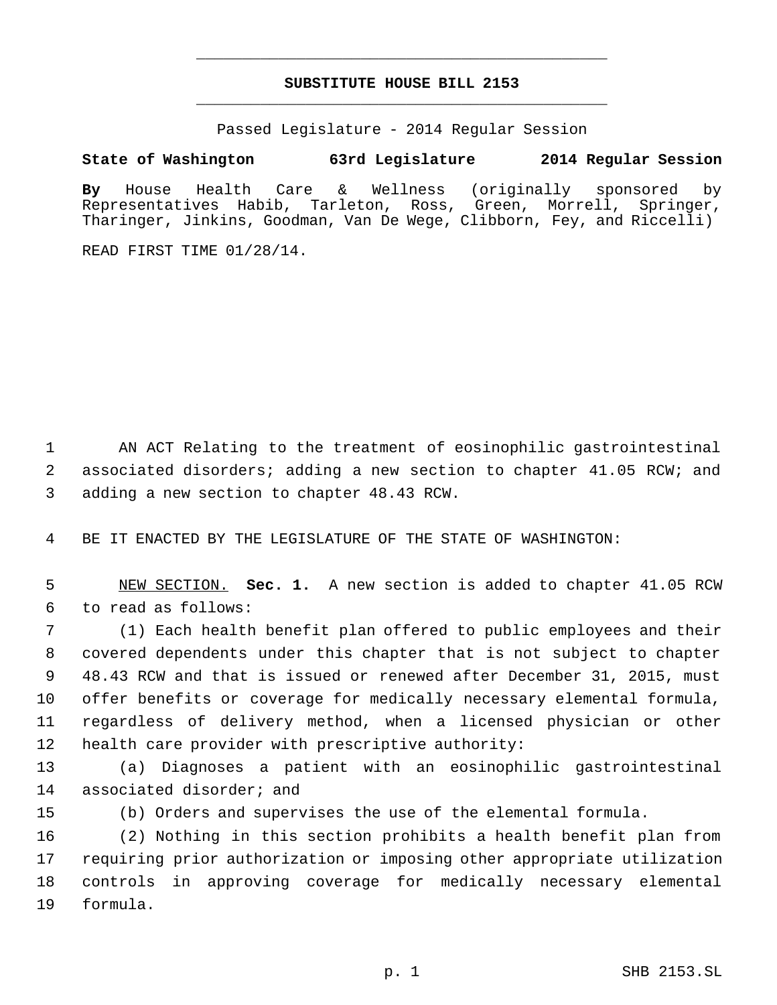# **SUBSTITUTE HOUSE BILL 2153** \_\_\_\_\_\_\_\_\_\_\_\_\_\_\_\_\_\_\_\_\_\_\_\_\_\_\_\_\_\_\_\_\_\_\_\_\_\_\_\_\_\_\_\_\_

\_\_\_\_\_\_\_\_\_\_\_\_\_\_\_\_\_\_\_\_\_\_\_\_\_\_\_\_\_\_\_\_\_\_\_\_\_\_\_\_\_\_\_\_\_

Passed Legislature - 2014 Regular Session

## **State of Washington 63rd Legislature 2014 Regular Session**

**By** House Health Care & Wellness (originally sponsored by Representatives Habib, Tarleton, Ross, Green, Morrell, Springer, Tharinger, Jinkins, Goodman, Van De Wege, Clibborn, Fey, and Riccelli)

READ FIRST TIME 01/28/14.

 AN ACT Relating to the treatment of eosinophilic gastrointestinal associated disorders; adding a new section to chapter 41.05 RCW; and adding a new section to chapter 48.43 RCW.

BE IT ENACTED BY THE LEGISLATURE OF THE STATE OF WASHINGTON:

 NEW SECTION. **Sec. 1.** A new section is added to chapter 41.05 RCW to read as follows:

 (1) Each health benefit plan offered to public employees and their covered dependents under this chapter that is not subject to chapter 48.43 RCW and that is issued or renewed after December 31, 2015, must offer benefits or coverage for medically necessary elemental formula, regardless of delivery method, when a licensed physician or other health care provider with prescriptive authority:

 (a) Diagnoses a patient with an eosinophilic gastrointestinal associated disorder; and

(b) Orders and supervises the use of the elemental formula.

 (2) Nothing in this section prohibits a health benefit plan from requiring prior authorization or imposing other appropriate utilization controls in approving coverage for medically necessary elemental formula.